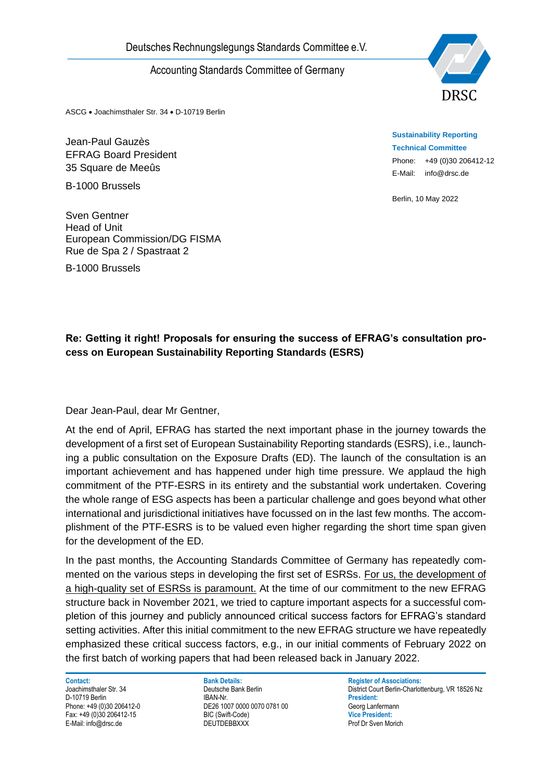

ASCG • Joachimsthaler Str. 34 • D-10719 Berlin

Jean-Paul Gauzès EFRAG Board President 35 Square de Meeûs

B-1000 Brussels

Sven Gentner Head of Unit European Commission/DG FISMA Rue de Spa 2 / Spastraat 2

B-1000 Brussels

**Sustainability Reporting Technical Committee** Phone: +49 (0)30 206412-12 E-Mail: info@drsc.de

Berlin, 10 May 2022

## **Re: Getting it right! Proposals for ensuring the success of EFRAG's consultation process on European Sustainability Reporting Standards (ESRS)**

Dear Jean-Paul, dear Mr Gentner,

Deutsches Rechnungslegungs Standards Committee e.V.<br>
Accounting Standards Committee of Germany<br>
Next.c. Accounting Standards Committee of Germany<br>
Jean-Paul Gauzés<br>
55-Square te Meets<br>
85-Square te Meets<br>
85-Square te Meet At the end of April, EFRAG has started the next important phase in the journey towards the development of a first set of European Sustainability Reporting standards (ESRS), i.e., launching a public consultation on the Exposure Drafts (ED). The launch of the consultation is an important achievement and has happened under high time pressure. We applaud the high commitment of the PTF-ESRS in its entirety and the substantial work undertaken. Covering the whole range of ESG aspects has been a particular challenge and goes beyond what other international and jurisdictional initiatives have focussed on in the last few months. The accomplishment of the PTF-ESRS is to be valued even higher regarding the short time span given for the development of the ED.

In the past months, the Accounting Standards Committee of Germany has repeatedly commented on the various steps in developing the first set of ESRSs. For us, the development of a high-quality set of ESRSs is paramount. At the time of our commitment to the new EFRAG structure back in November 2021, we tried to capture important aspects for a successful completion of this journey and publicly announced critical success factors for EFRAG's standard setting activities. After this initial commitment to the new EFRAG structure we have repeatedly emphasized these critical success factors, e.g., in our initial comments of February 2022 on the first batch of working papers that had been released back in January 2022.

**Contact: Bank Details: Bank Details: Register of Associations: Proportional Bank Details: Register of Associations: Proportions: Proportions: Proportions: Proportions: Proportional Details: Proportio** D-10719 Berlin

Phone: +49 (0)30 206412-0 DE26 1007 0000 0070 0781 00 Georg Lanfermann Fax: +49 (0)30 206412-15 BIC (Swift-Code) **Vice President:**

Deutsche Bank Berlin<br>
Joachimsthaler Str. 34 District Court Berlin-Charlottenburg, VR 18526 Nz<br>
President: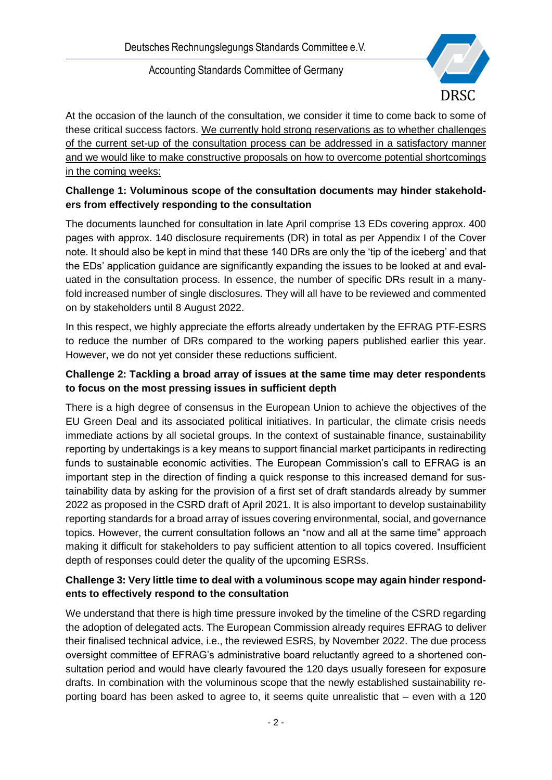

At the occasion of the launch of the consultation, we consider it time to come back to some of these critical success factors. We currently hold strong reservations as to whether challenges of the current set-up of the consultation process can be addressed in a satisfactory manner and we would like to make constructive proposals on how to overcome potential shortcomings in the coming weeks:

## **Challenge 1: Voluminous scope of the consultation documents may hinder stakeholders from effectively responding to the consultation**

The documents launched for consultation in late April comprise 13 EDs covering approx. 400 pages with approx. 140 disclosure requirements (DR) in total as per Appendix I of the Cover note. It should also be kept in mind that these 140 DRs are only the 'tip of the iceberg' and that the EDs' application guidance are significantly expanding the issues to be looked at and evaluated in the consultation process. In essence, the number of specific DRs result in a manyfold increased number of single disclosures. They will all have to be reviewed and commented on by stakeholders until 8 August 2022.

In this respect, we highly appreciate the efforts already undertaken by the EFRAG PTF-ESRS to reduce the number of DRs compared to the working papers published earlier this year. However, we do not yet consider these reductions sufficient.

# **Challenge 2: Tackling a broad array of issues at the same time may deter respondents to focus on the most pressing issues in sufficient depth**

There is a high degree of consensus in the European Union to achieve the objectives of the EU Green Deal and its associated political initiatives. In particular, the climate crisis needs immediate actions by all societal groups. In the context of sustainable finance, sustainability reporting by undertakings is a key means to support financial market participants in redirecting funds to sustainable economic activities. The European Commission's call to EFRAG is an important step in the direction of finding a quick response to this increased demand for sustainability data by asking for the provision of a first set of draft standards already by summer 2022 as proposed in the CSRD draft of April 2021. It is also important to develop sustainability reporting standards for a broad array of issues covering environmental, social, and governance topics. However, the current consultation follows an "now and all at the same time" approach making it difficult for stakeholders to pay sufficient attention to all topics covered. Insufficient depth of responses could deter the quality of the upcoming ESRSs.

#### **Challenge 3: Very little time to deal with a voluminous scope may again hinder respondents to effectively respond to the consultation**

We understand that there is high time pressure invoked by the timeline of the CSRD regarding the adoption of delegated acts. The European Commission already requires EFRAG to deliver their finalised technical advice, i.e., the reviewed ESRS, by November 2022. The due process oversight committee of EFRAG's administrative board reluctantly agreed to a shortened consultation period and would have clearly favoured the 120 days usually foreseen for exposure drafts. In combination with the voluminous scope that the newly established sustainability reporting board has been asked to agree to, it seems quite unrealistic that – even with a 120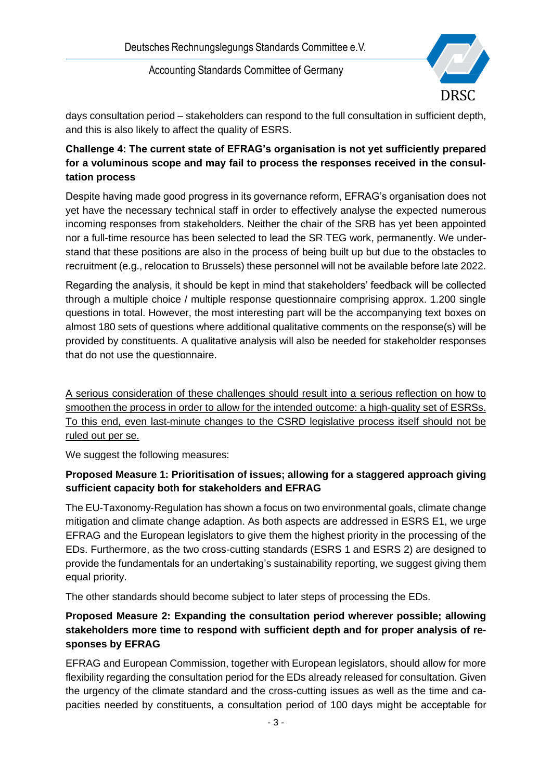

days consultation period – stakeholders can respond to the full consultation in sufficient depth, and this is also likely to affect the quality of ESRS.

# **Challenge 4: The current state of EFRAG's organisation is not yet sufficiently prepared for a voluminous scope and may fail to process the responses received in the consultation process**

Despite having made good progress in its governance reform, EFRAG's organisation does not yet have the necessary technical staff in order to effectively analyse the expected numerous incoming responses from stakeholders. Neither the chair of the SRB has yet been appointed nor a full-time resource has been selected to lead the SR TEG work, permanently. We understand that these positions are also in the process of being built up but due to the obstacles to recruitment (e.g., relocation to Brussels) these personnel will not be available before late 2022.

Regarding the analysis, it should be kept in mind that stakeholders' feedback will be collected through a multiple choice / multiple response questionnaire comprising approx. 1.200 single questions in total. However, the most interesting part will be the accompanying text boxes on almost 180 sets of questions where additional qualitative comments on the response(s) will be provided by constituents. A qualitative analysis will also be needed for stakeholder responses that do not use the questionnaire.

A serious consideration of these challenges should result into a serious reflection on how to smoothen the process in order to allow for the intended outcome: a high-quality set of ESRSs. To this end, even last-minute changes to the CSRD legislative process itself should not be ruled out per se.

We suggest the following measures:

#### **Proposed Measure 1: Prioritisation of issues; allowing for a staggered approach giving sufficient capacity both for stakeholders and EFRAG**

The EU-Taxonomy-Regulation has shown a focus on two environmental goals, climate change mitigation and climate change adaption. As both aspects are addressed in ESRS E1, we urge EFRAG and the European legislators to give them the highest priority in the processing of the EDs. Furthermore, as the two cross-cutting standards (ESRS 1 and ESRS 2) are designed to provide the fundamentals for an undertaking's sustainability reporting, we suggest giving them equal priority.

The other standards should become subject to later steps of processing the EDs.

### **Proposed Measure 2: Expanding the consultation period wherever possible; allowing stakeholders more time to respond with sufficient depth and for proper analysis of responses by EFRAG**

EFRAG and European Commission, together with European legislators, should allow for more flexibility regarding the consultation period for the EDs already released for consultation. Given the urgency of the climate standard and the cross-cutting issues as well as the time and capacities needed by constituents, a consultation period of 100 days might be acceptable for